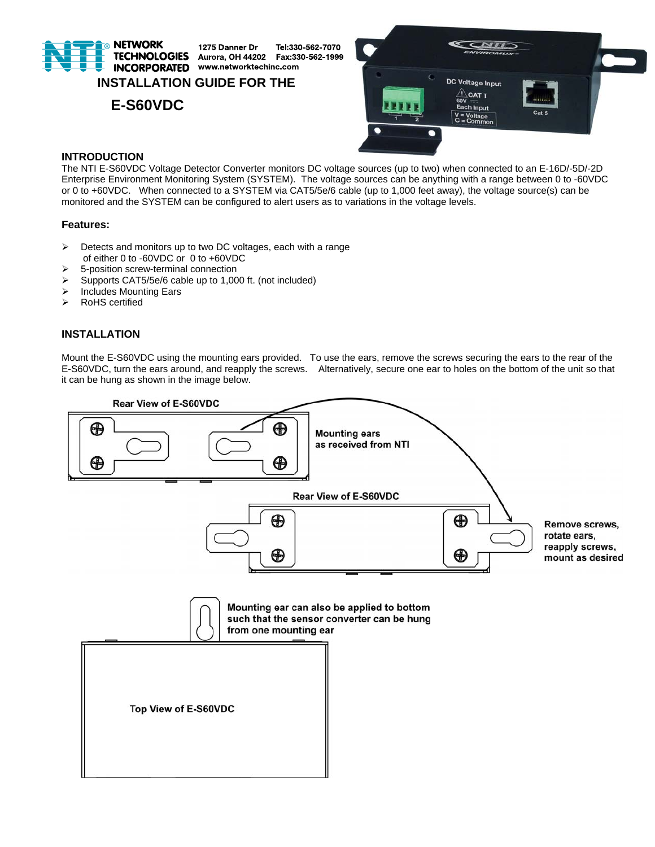

1275 Danner Dr Tel:330-562-7070 Aurora, OH 44202 Fax:330-562-1999 **INCORPORATED** www.networktechinc.com

# **INSTALLATION GUIDE FOR THE**

 **E-S60VDC** 



# **INTRODUCTION**

The NTI E-S60VDC Voltage Detector Converter monitors DC voltage sources (up to two) when connected to an E-16D/-5D/-2D Enterprise Environment Monitoring System (SYSTEM). The voltage sources can be anything with a range between 0 to -60VDC or 0 to +60VDC. When connected to a SYSTEM via CAT5/5e/6 cable (up to 1,000 feet away), the voltage source(s) can be monitored and the SYSTEM can be configured to alert users as to variations in the voltage levels.

## **Features:**

- $\triangleright$  Detects and monitors up to two DC voltages, each with a range of either 0 to -60VDC or 0 to +60VDC
- $\geq$  5-position screw-terminal connection
- Supports CAT5/5e/6 cable up to 1,000 ft. (not included)
- $\triangleright$  Includes Mounting Ears
- > RoHS certified

# **INSTALLATION**

Mount the E-S60VDC using the mounting ears provided. To use the ears, remove the screws securing the ears to the rear of the E-S60VDC, turn the ears around, and reapply the screws. Alternatively, secure one ear to holes on the bottom of the unit so that it can be hung as shown in the image below.

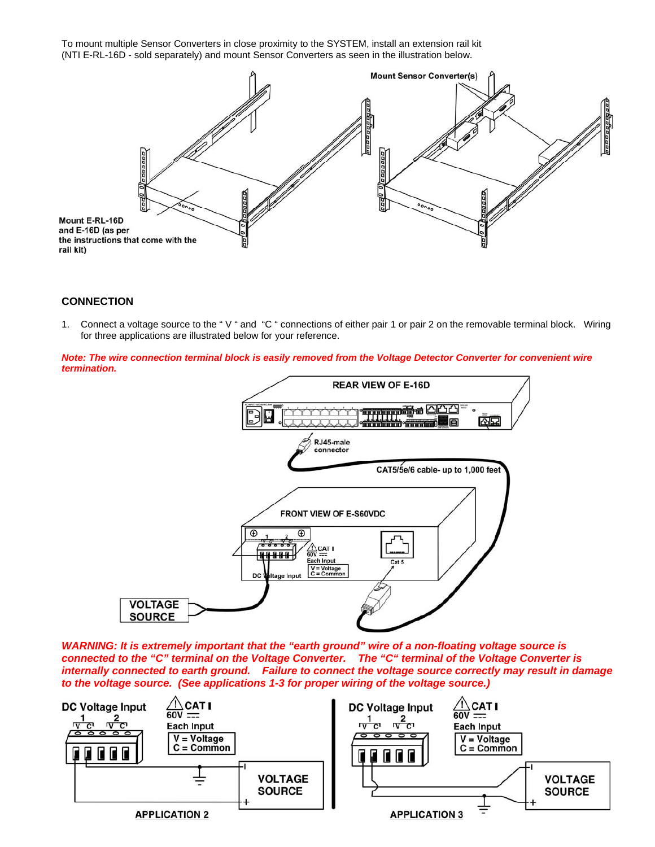To mount multiple Sensor Converters in close proximity to the SYSTEM, install an extension rail kit (NTI E-RL-16D - sold separately) and mount Sensor Converters as seen in the illustration below.



# **CONNECTION**

1. Connect a voltage source to the " V " and "C " connections of either pair 1 or pair 2 on the removable terminal block. Wiring for three applications are illustrated below for your reference.

*Note: The wire connection terminal block is easily removed from the Voltage Detector Converter for convenient wire termination.* 



*WARNING: It is extremely important that the "earth ground" wire of a non-floating voltage source is connected to the "C" terminal on the Voltage Converter. The "C" terminal of the Voltage Converter is internally connected to earth ground. Failure to connect the voltage source correctly may result in damage to the voltage source. (See applications 1-3 for proper wiring of the voltage source.)* 

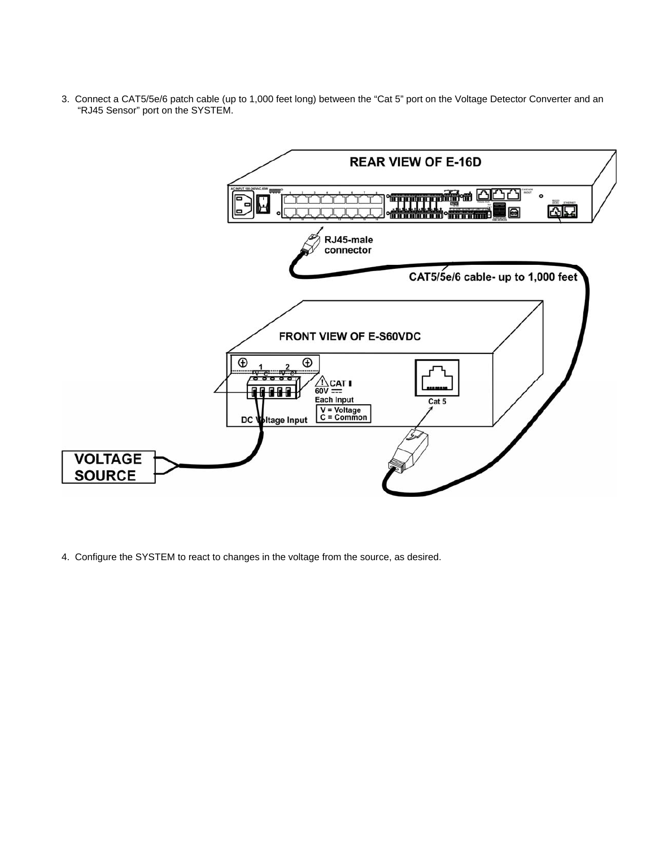3. Connect a CAT5/5e/6 patch cable (up to 1,000 feet long) between the "Cat 5" port on the Voltage Detector Converter and an "RJ45 Sensor" port on the SYSTEM.



4. Configure the SYSTEM to react to changes in the voltage from the source, as desired.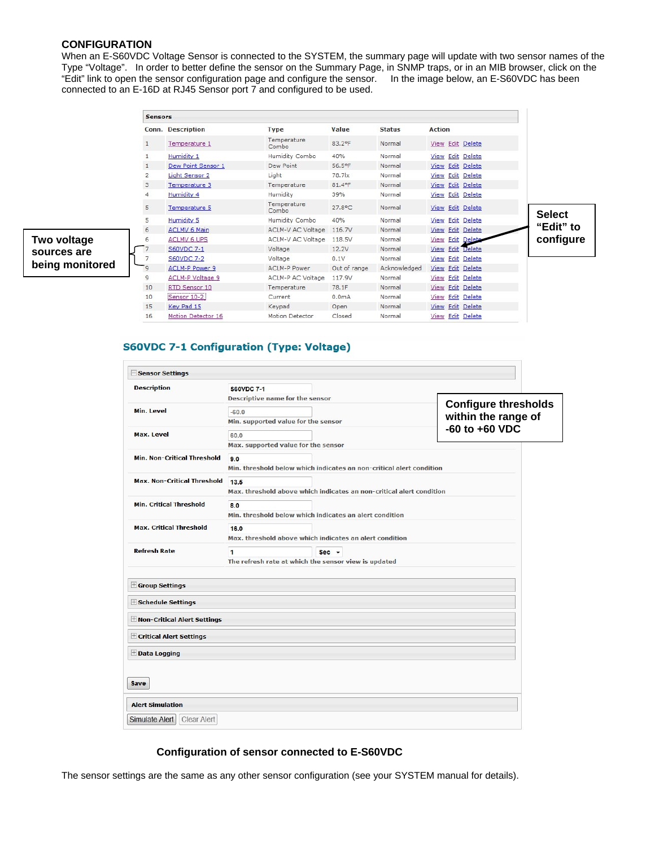# **CONFIGURATION**

When an E-S60VDC Voltage Sensor is connected to the SYSTEM, the summary page will update with two sensor names of the Type "Voltage". In order to better define the sensor on the Summary Page, in SNMP traps, or in an MIB browser, click on the "Edit" link to open the sensor configuration page and configure the sensor. In the image below, an E-S60VDC has been connected to an E-16D at RJ45 Sensor port 7 and configured to be used.

|                 | <b>Sensors</b> |                          |                                                                                |                    |                  |                         |               |
|-----------------|----------------|--------------------------|--------------------------------------------------------------------------------|--------------------|------------------|-------------------------|---------------|
|                 |                | <b>Conn. Description</b> | <b>Type</b>                                                                    | Value              | <b>Status</b>    | <b>Action</b>           |               |
|                 |                | Temperature 1            | Temperature<br>Combo                                                           | 83.2°F             | Normal           | View Edit Delete        |               |
|                 |                | <b>Humidity 1</b>        | Humidity Combo                                                                 | 40%                | Normal           | <b>View Edit Delete</b> |               |
|                 |                | Dew Point Sensor 1       | Dew Point                                                                      | 56.5°F             | Normal           | <b>View Edit Delete</b> |               |
|                 | $\overline{2}$ | Light Sensor 2           | Light                                                                          | 78.7 x             | Normal           | View Edit Delete        |               |
|                 | 3              | Temperature 3            | Temperature                                                                    | 81.4°F             | Normal           | <b>View Edit Delete</b> |               |
|                 | 4              | Humidity 4               | Humidity                                                                       | 39%                | Normal           | <b>View Edit Delete</b> |               |
| Two voltage     | 5              | Temperature 5            | Temperature<br>Combo                                                           | 27.8°C             | Normal           | View Edit Delete        | <b>Select</b> |
|                 | 5              | Humidity 5               | Humidity Combo                                                                 | 40%                | Normal           | View Edit Delete        |               |
|                 | 6              | <b>ACLMV 6 Main</b>      | ACLM-V AC Voltage<br>Normal<br>116.7V<br>ACLM-V AC Voltage<br>Normal<br>118.5V | View Edit Delete   | "Edit" to        |                         |               |
|                 | 6              | <b>ACLMV 6 UPS</b>       |                                                                                |                    | View Edit Delete | configure               |               |
| sources are     | $\overline{7}$ | <b>S60VDC 7-1</b>        | Voltage                                                                        | 12.2V              | Normal           | <b>View Edit Delete</b> |               |
| being monitored |                | <b>S60VDC 7-2</b>        | Voltage                                                                        | 0.1V               | Normal           | <b>View Edit Delete</b> |               |
|                 | 9              | ACLM-P Power 9           | <b>ACLM-P Power</b>                                                            | Out of range       | Acknowledged     | <b>View Edit Delete</b> |               |
|                 | 9              | ACLM-P Voltage 9         | ACLM-P AC Voltage                                                              | 117.9V             | Normal           | View Edit Delete        |               |
|                 | 10             | RTD Sensor 10            | Temperature                                                                    | 78.1F              | Normal           | View Edit<br>Delete     |               |
|                 | 10             | Sensor 10-2              | Current                                                                        | 0.0 <sub>m</sub> A | Normal           | View Edit Delete        |               |
|                 | 15             | Key Pad 15               | Keypad                                                                         | Open               | Normal           | View Edit Delete        |               |
|                 | 16             | Motion Detector 16       | Motion Detector                                                                | Closed             | Normal           | View Edit Delete        |               |

## **S60VDC 7-1 Configuration (Type: Voltage)**

| <b>Min. Level</b><br>Max. Level    | Descriptive name for the sensor<br>$-60.0$<br>Min. supported value for the sensor<br>60.0<br>Max. supported value for the sensor<br>9.0 |                     | <b>Configure thresholds</b><br>within the range of<br>$-60$ to $+60$ VDC |  |  |
|------------------------------------|-----------------------------------------------------------------------------------------------------------------------------------------|---------------------|--------------------------------------------------------------------------|--|--|
|                                    |                                                                                                                                         |                     |                                                                          |  |  |
|                                    |                                                                                                                                         |                     |                                                                          |  |  |
|                                    |                                                                                                                                         |                     |                                                                          |  |  |
|                                    |                                                                                                                                         |                     |                                                                          |  |  |
|                                    |                                                                                                                                         |                     |                                                                          |  |  |
| <b>Min. Non-Critical Threshold</b> |                                                                                                                                         |                     |                                                                          |  |  |
|                                    | Min, threshold below which indicates an non-critical alert condition                                                                    |                     |                                                                          |  |  |
| <b>Max. Non-Critical Threshold</b> | 13.5                                                                                                                                    |                     |                                                                          |  |  |
|                                    | Max, threshold above which indicates an non-critical alert condition                                                                    |                     |                                                                          |  |  |
| <b>Min. Critical Threshold</b>     | 8.0                                                                                                                                     |                     |                                                                          |  |  |
|                                    | Min. threshold below which indicates an alert condition                                                                                 |                     |                                                                          |  |  |
| <b>Max. Critical Threshold</b>     | 16.0                                                                                                                                    |                     |                                                                          |  |  |
|                                    | Max, threshold above which indicates an alert condition                                                                                 |                     |                                                                          |  |  |
| <b>Refresh Rate</b>                | $\blacksquare$                                                                                                                          | $Sec$ $\rightarrow$ |                                                                          |  |  |
|                                    | The refresh rate at which the sensor view is updated                                                                                    |                     |                                                                          |  |  |
|                                    |                                                                                                                                         |                     |                                                                          |  |  |
| E Group Settings                   |                                                                                                                                         |                     |                                                                          |  |  |
| <b>Exchedule Settings</b>          |                                                                                                                                         |                     |                                                                          |  |  |
| H Non-Critical Alert Settings      |                                                                                                                                         |                     |                                                                          |  |  |
| + Critical Alert Settings          |                                                                                                                                         |                     |                                                                          |  |  |
| <b>EData Logging</b>               |                                                                                                                                         |                     |                                                                          |  |  |
|                                    |                                                                                                                                         |                     |                                                                          |  |  |
| Save                               |                                                                                                                                         |                     |                                                                          |  |  |
| <b>Alert Simulation</b>            |                                                                                                                                         |                     |                                                                          |  |  |
| Simulate Alert<br>Clear Alert      |                                                                                                                                         |                     |                                                                          |  |  |

## **Configuration of sensor connected to E-S60VDC**

The sensor settings are the same as any other sensor configuration (see your SYSTEM manual for details).